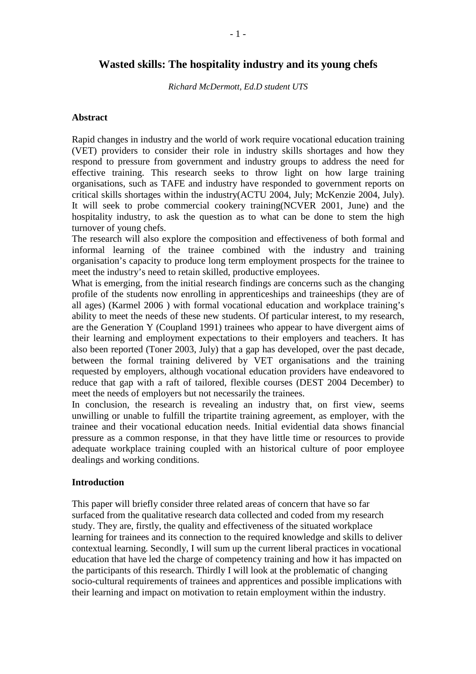# **Wasted skills: The hospitality industry and its young chefs**

*Richard McDermott, Ed.D student UTS* 

### **Abstract**

Rapid changes in industry and the world of work require vocational education training (VET) providers to consider their role in industry skills shortages and how they respond to pressure from government and industry groups to address the need for effective training. This research seeks to throw light on how large training organisations, such as TAFE and industry have responded to government reports on critical skills shortages within the industry(ACTU 2004, July; McKenzie 2004, July). It will seek to probe commercial cookery training(NCVER 2001, June) and the hospitality industry, to ask the question as to what can be done to stem the high turnover of young chefs.

The research will also explore the composition and effectiveness of both formal and informal learning of the trainee combined with the industry and training organisation's capacity to produce long term employment prospects for the trainee to meet the industry's need to retain skilled, productive employees.

What is emerging, from the initial research findings are concerns such as the changing profile of the students now enrolling in apprenticeships and traineeships (they are of all ages) (Karmel 2006 ) with formal vocational education and workplace training's ability to meet the needs of these new students. Of particular interest, to my research, are the Generation Y (Coupland 1991) trainees who appear to have divergent aims of their learning and employment expectations to their employers and teachers. It has also been reported (Toner 2003, July) that a gap has developed, over the past decade, between the formal training delivered by VET organisations and the training requested by employers, although vocational education providers have endeavored to reduce that gap with a raft of tailored, flexible courses (DEST 2004 December) to meet the needs of employers but not necessarily the trainees.

In conclusion, the research is revealing an industry that, on first view, seems unwilling or unable to fulfill the tripartite training agreement, as employer, with the trainee and their vocational education needs. Initial evidential data shows financial pressure as a common response, in that they have little time or resources to provide adequate workplace training coupled with an historical culture of poor employee dealings and working conditions.

### **Introduction**

This paper will briefly consider three related areas of concern that have so far surfaced from the qualitative research data collected and coded from my research study. They are, firstly, the quality and effectiveness of the situated workplace learning for trainees and its connection to the required knowledge and skills to deliver contextual learning. Secondly, I will sum up the current liberal practices in vocational education that have led the charge of competency training and how it has impacted on the participants of this research. Thirdly I will look at the problematic of changing socio-cultural requirements of trainees and apprentices and possible implications with their learning and impact on motivation to retain employment within the industry.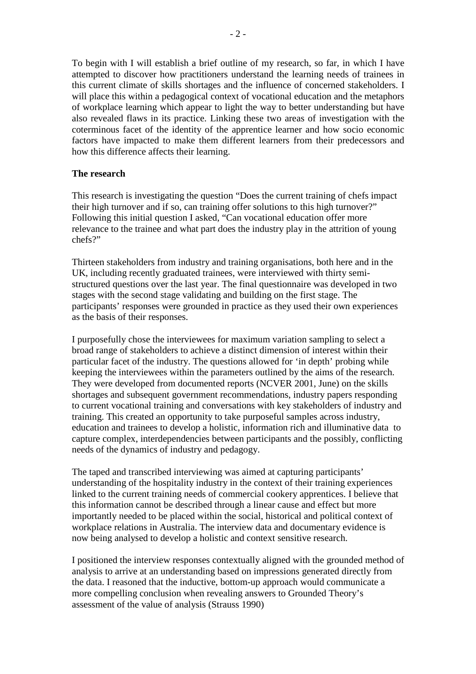To begin with I will establish a brief outline of my research, so far, in which I have attempted to discover how practitioners understand the learning needs of trainees in this current climate of skills shortages and the influence of concerned stakeholders. I will place this within a pedagogical context of vocational education and the metaphors of workplace learning which appear to light the way to better understanding but have also revealed flaws in its practice. Linking these two areas of investigation with the coterminous facet of the identity of the apprentice learner and how socio economic factors have impacted to make them different learners from their predecessors and how this difference affects their learning.

## **The research**

This research is investigating the question "Does the current training of chefs impact their high turnover and if so, can training offer solutions to this high turnover?" Following this initial question I asked, "Can vocational education offer more relevance to the trainee and what part does the industry play in the attrition of young chefs?"

Thirteen stakeholders from industry and training organisations, both here and in the UK, including recently graduated trainees, were interviewed with thirty semistructured questions over the last year. The final questionnaire was developed in two stages with the second stage validating and building on the first stage. The participants' responses were grounded in practice as they used their own experiences as the basis of their responses.

I purposefully chose the interviewees for maximum variation sampling to select a broad range of stakeholders to achieve a distinct dimension of interest within their particular facet of the industry. The questions allowed for 'in depth' probing while keeping the interviewees within the parameters outlined by the aims of the research. They were developed from documented reports (NCVER 2001, June) on the skills shortages and subsequent government recommendations, industry papers responding to current vocational training and conversations with key stakeholders of industry and training. This created an opportunity to take purposeful samples across industry, education and trainees to develop a holistic, information rich and illuminative data to capture complex, interdependencies between participants and the possibly, conflicting needs of the dynamics of industry and pedagogy.

The taped and transcribed interviewing was aimed at capturing participants' understanding of the hospitality industry in the context of their training experiences linked to the current training needs of commercial cookery apprentices. I believe that this information cannot be described through a linear cause and effect but more importantly needed to be placed within the social, historical and political context of workplace relations in Australia. The interview data and documentary evidence is now being analysed to develop a holistic and context sensitive research.

I positioned the interview responses contextually aligned with the grounded method of analysis to arrive at an understanding based on impressions generated directly from the data. I reasoned that the inductive, bottom-up approach would communicate a more compelling conclusion when revealing answers to Grounded Theory's assessment of the value of analysis (Strauss 1990)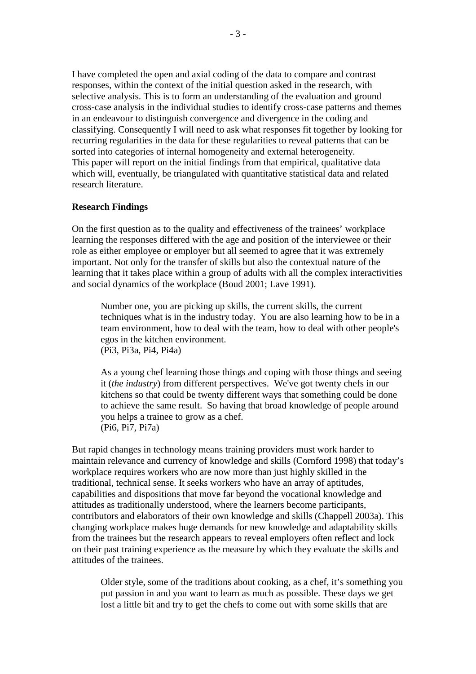I have completed the open and axial coding of the data to compare and contrast responses, within the context of the initial question asked in the research, with selective analysis. This is to form an understanding of the evaluation and ground cross-case analysis in the individual studies to identify cross-case patterns and themes in an endeavour to distinguish convergence and divergence in the coding and classifying. Consequently I will need to ask what responses fit together by looking for recurring regularities in the data for these regularities to reveal patterns that can be sorted into categories of internal homogeneity and external heterogeneity. This paper will report on the initial findings from that empirical, qualitative data which will, eventually, be triangulated with quantitative statistical data and related research literature.

#### **Research Findings**

On the first question as to the quality and effectiveness of the trainees' workplace learning the responses differed with the age and position of the interviewee or their role as either employee or employer but all seemed to agree that it was extremely important. Not only for the transfer of skills but also the contextual nature of the learning that it takes place within a group of adults with all the complex interactivities and social dynamics of the workplace (Boud 2001; Lave 1991).

Number one, you are picking up skills, the current skills, the current techniques what is in the industry today. You are also learning how to be in a team environment, how to deal with the team, how to deal with other people's egos in the kitchen environment. (Pi3, Pi3a, Pi4, Pi4a)

As a young chef learning those things and coping with those things and seeing it (*the industry*) from different perspectives. We've got twenty chefs in our kitchens so that could be twenty different ways that something could be done to achieve the same result. So having that broad knowledge of people around you helps a trainee to grow as a chef. (Pi6, Pi7, Pi7a)

But rapid changes in technology means training providers must work harder to maintain relevance and currency of knowledge and skills (Cornford 1998) that today's workplace requires workers who are now more than just highly skilled in the traditional, technical sense. It seeks workers who have an array of aptitudes, capabilities and dispositions that move far beyond the vocational knowledge and attitudes as traditionally understood, where the learners become participants, contributors and elaborators of their own knowledge and skills (Chappell 2003a). This changing workplace makes huge demands for new knowledge and adaptability skills from the trainees but the research appears to reveal employers often reflect and lock on their past training experience as the measure by which they evaluate the skills and attitudes of the trainees.

Older style, some of the traditions about cooking, as a chef, it's something you put passion in and you want to learn as much as possible. These days we get lost a little bit and try to get the chefs to come out with some skills that are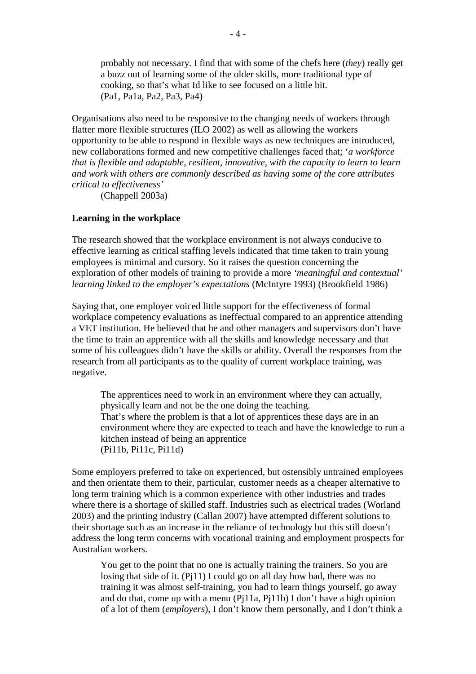probably not necessary. I find that with some of the chefs here (*they*) really get a buzz out of learning some of the older skills, more traditional type of cooking, so that's what Id like to see focused on a little bit. (Pa1, Pa1a, Pa2, Pa3, Pa4)

Organisations also need to be responsive to the changing needs of workers through flatter more flexible structures (ILO 2002) as well as allowing the workers opportunity to be able to respond in flexible ways as new techniques are introduced, new collaborations formed and new competitive challenges faced that; '*a workforce that is flexible and adaptable, resilient, innovative, with the capacity to learn to learn and work with others are commonly described as having some of the core attributes critical to effectiveness'* 

(Chappell 2003a)

### **Learning in the workplace**

The research showed that the workplace environment is not always conducive to effective learning as critical staffing levels indicated that time taken to train young employees is minimal and cursory. So it raises the question concerning the exploration of other models of training to provide a more *'meaningful and contextual' learning linked to the employer's expectations* (McIntyre 1993) (Brookfield 1986)

Saying that, one employer voiced little support for the effectiveness of formal workplace competency evaluations as ineffectual compared to an apprentice attending a VET institution. He believed that he and other managers and supervisors don't have the time to train an apprentice with all the skills and knowledge necessary and that some of his colleagues didn't have the skills or ability. Overall the responses from the research from all participants as to the quality of current workplace training, was negative.

The apprentices need to work in an environment where they can actually, physically learn and not be the one doing the teaching. That's where the problem is that a lot of apprentices these days are in an environment where they are expected to teach and have the knowledge to run a kitchen instead of being an apprentice (Pi11b, Pi11c, Pi11d)

Some employers preferred to take on experienced, but ostensibly untrained employees and then orientate them to their, particular, customer needs as a cheaper alternative to long term training which is a common experience with other industries and trades where there is a shortage of skilled staff. Industries such as electrical trades (Worland 2003) and the printing industry (Callan 2007) have attempted different solutions to their shortage such as an increase in the reliance of technology but this still doesn't address the long term concerns with vocational training and employment prospects for Australian workers.

You get to the point that no one is actually training the trainers. So you are losing that side of it. (Pj11) I could go on all day how bad, there was no training it was almost self-training, you had to learn things yourself, go away and do that, come up with a menu (Pj11a, Pj11b) I don't have a high opinion of a lot of them (*employers*), I don't know them personally, and I don't think a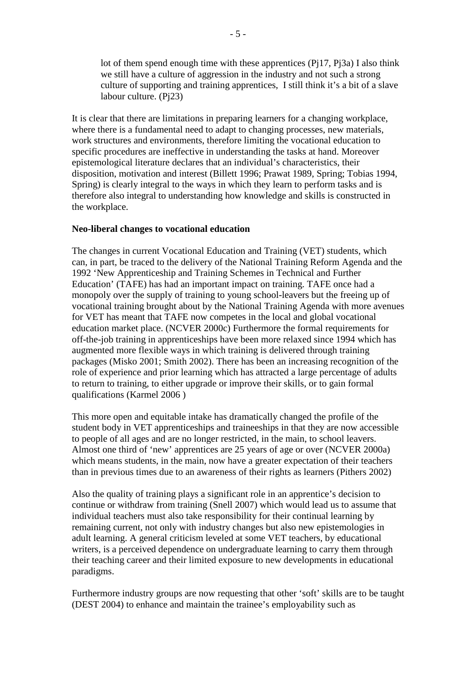lot of them spend enough time with these apprentices  $(P_117, P_13a)$  I also think we still have a culture of aggression in the industry and not such a strong culture of supporting and training apprentices, I still think it's a bit of a slave labour culture. (Pj23)

It is clear that there are limitations in preparing learners for a changing workplace, where there is a fundamental need to adapt to changing processes, new materials, work structures and environments, therefore limiting the vocational education to specific procedures are ineffective in understanding the tasks at hand. Moreover epistemological literature declares that an individual's characteristics, their disposition, motivation and interest (Billett 1996; Prawat 1989, Spring; Tobias 1994, Spring) is clearly integral to the ways in which they learn to perform tasks and is therefore also integral to understanding how knowledge and skills is constructed in the workplace.

## **Neo-liberal changes to vocational education**

The changes in current Vocational Education and Training (VET) students, which can, in part, be traced to the delivery of the National Training Reform Agenda and the 1992 'New Apprenticeship and Training Schemes in Technical and Further Education' (TAFE) has had an important impact on training. TAFE once had a monopoly over the supply of training to young school-leavers but the freeing up of vocational training brought about by the National Training Agenda with more avenues for VET has meant that TAFE now competes in the local and global vocational education market place. (NCVER 2000c) Furthermore the formal requirements for off-the-job training in apprenticeships have been more relaxed since 1994 which has augmented more flexible ways in which training is delivered through training packages (Misko 2001; Smith 2002). There has been an increasing recognition of the role of experience and prior learning which has attracted a large percentage of adults to return to training, to either upgrade or improve their skills, or to gain formal qualifications (Karmel 2006 )

This more open and equitable intake has dramatically changed the profile of the student body in VET apprenticeships and traineeships in that they are now accessible to people of all ages and are no longer restricted, in the main, to school leavers. Almost one third of 'new' apprentices are 25 years of age or over (NCVER 2000a) which means students, in the main, now have a greater expectation of their teachers than in previous times due to an awareness of their rights as learners (Pithers 2002)

Also the quality of training plays a significant role in an apprentice's decision to continue or withdraw from training (Snell 2007) which would lead us to assume that individual teachers must also take responsibility for their continual learning by remaining current, not only with industry changes but also new epistemologies in adult learning. A general criticism leveled at some VET teachers, by educational writers, is a perceived dependence on undergraduate learning to carry them through their teaching career and their limited exposure to new developments in educational paradigms.

Furthermore industry groups are now requesting that other 'soft' skills are to be taught (DEST 2004) to enhance and maintain the trainee's employability such as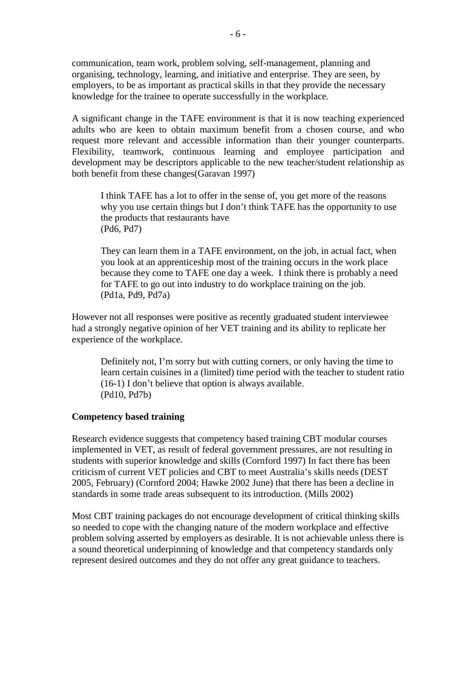communication, team work, problem solving, self-management, planning and organising, technology, learning, and initiative and enterprise. They are seen, by employers, to be as important as practical skills in that they provide the necessary knowledge for the trainee to operate successfully in the workplace.

A significant change in the TAFE environment is that it is now teaching experienced adults who are keen to obtain maximum benefit from a chosen course, and who request more relevant and accessible information than their younger counterparts. Flexibility, teamwork, continuous learning and employee participation and development may be descriptors applicable to the new teacher/student relationship as both benefit from these changes(Garavan 1997)

I think TAFE has a lot to offer in the sense of, you get more of the reasons why you use certain things but I don't think TAFE has the opportunity to use the products that restaurants have (Pd6, Pd7)

They can learn them in a TAFE environment, on the job, in actual fact, when you look at an apprenticeship most of the training occurs in the work place because they come to TAFE one day a week. I think there is probably a need for TAFE to go out into industry to do workplace training on the job. (Pd1a, Pd9, Pd7a)

However not all responses were positive as recently graduated student interviewee had a strongly negative opinion of her VET training and its ability to replicate her experience of the workplace.

Definitely not, I'm sorry but with cutting corners, or only having the time to learn certain cuisines in a (limited) time period with the teacher to student ratio (16-1) I don't believe that option is always available. (Pd10, Pd7b)

### **Competency based training**

Research evidence suggests that competency based training CBT modular courses implemented in VET, as result of federal government pressures, are not resulting in students with superior knowledge and skills (Cornford 1997) In fact there has been criticism of current VET policies and CBT to meet Australia's skills needs (DEST 2005, February) (Cornford 2004; Hawke 2002 June) that there has been a decline in standards in some trade areas subsequent to its introduction. (Mills 2002)

Most CBT training packages do not encourage development of critical thinking skills so needed to cope with the changing nature of the modern workplace and effective problem solving asserted by employers as desirable. It is not achievable unless there is a sound theoretical underpinning of knowledge and that competency standards only represent desired outcomes and they do not offer any great guidance to teachers.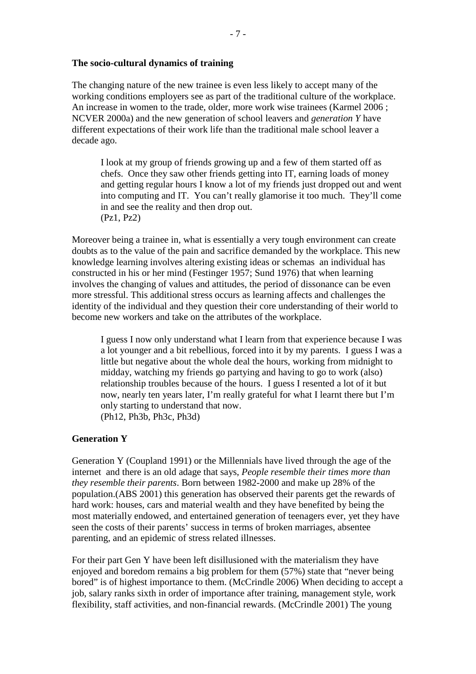### **The socio-cultural dynamics of training**

The changing nature of the new trainee is even less likely to accept many of the working conditions employers see as part of the traditional culture of the workplace. An increase in women to the trade, older, more work wise trainees (Karmel 2006 ; NCVER 2000a) and the new generation of school leavers and *generation Y* have different expectations of their work life than the traditional male school leaver a decade ago.

I look at my group of friends growing up and a few of them started off as chefs. Once they saw other friends getting into IT, earning loads of money and getting regular hours I know a lot of my friends just dropped out and went into computing and IT. You can't really glamorise it too much. They'll come in and see the reality and then drop out. (Pz1, Pz2)

Moreover being a trainee in, what is essentially a very tough environment can create doubts as to the value of the pain and sacrifice demanded by the workplace. This new knowledge learning involves altering existing ideas or schemas an individual has constructed in his or her mind (Festinger 1957; Sund 1976) that when learning involves the changing of values and attitudes, the period of dissonance can be even more stressful. This additional stress occurs as learning affects and challenges the identity of the individual and they question their core understanding of their world to become new workers and take on the attributes of the workplace.

I guess I now only understand what I learn from that experience because I was a lot younger and a bit rebellious, forced into it by my parents. I guess I was a little but negative about the whole deal the hours, working from midnight to midday, watching my friends go partying and having to go to work (also) relationship troubles because of the hours. I guess I resented a lot of it but now, nearly ten years later, I'm really grateful for what I learnt there but I'm only starting to understand that now. (Ph12, Ph3b, Ph3c, Ph3d)

### **Generation Y**

Generation Y (Coupland 1991) or the Millennials have lived through the age of the internet and there is an old adage that says, *People resemble their times more than they resemble their parents*. Born between 1982-2000 and make up 28% of the population.(ABS 2001) this generation has observed their parents get the rewards of hard work: houses, cars and material wealth and they have benefited by being the most materially endowed, and entertained generation of teenagers ever, yet they have seen the costs of their parents' success in terms of broken marriages, absentee parenting, and an epidemic of stress related illnesses.

For their part Gen Y have been left disillusioned with the materialism they have enjoyed and boredom remains a big problem for them (57%) state that "never being bored" is of highest importance to them. (McCrindle 2006) When deciding to accept a job, salary ranks sixth in order of importance after training, management style, work flexibility, staff activities, and non-financial rewards. (McCrindle 2001) The young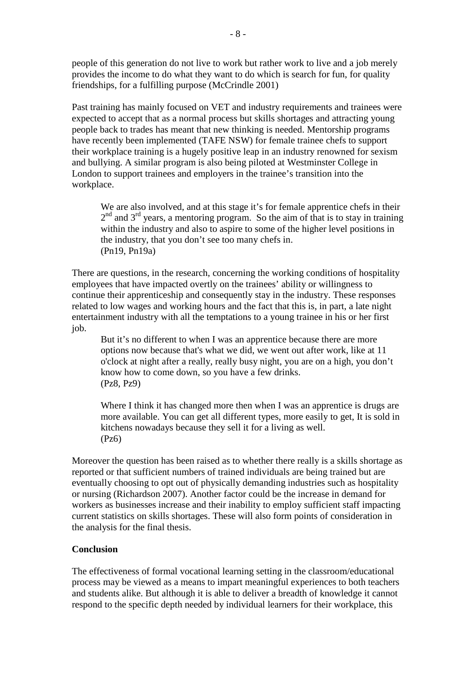people of this generation do not live to work but rather work to live and a job merely provides the income to do what they want to do which is search for fun, for quality friendships, for a fulfilling purpose (McCrindle 2001)

Past training has mainly focused on VET and industry requirements and trainees were expected to accept that as a normal process but skills shortages and attracting young people back to trades has meant that new thinking is needed. Mentorship programs have recently been implemented (TAFE NSW) for female trainee chefs to support their workplace training is a hugely positive leap in an industry renowned for sexism and bullying. A similar program is also being piloted at Westminster College in London to support trainees and employers in the trainee's transition into the workplace.

We are also involved, and at this stage it's for female apprentice chefs in their  $2<sup>nd</sup>$  and  $3<sup>rd</sup>$  years, a mentoring program. So the aim of that is to stay in training within the industry and also to aspire to some of the higher level positions in the industry, that you don't see too many chefs in. (Pn19, Pn19a)

There are questions, in the research, concerning the working conditions of hospitality employees that have impacted overtly on the trainees' ability or willingness to continue their apprenticeship and consequently stay in the industry. These responses related to low wages and working hours and the fact that this is, in part, a late night entertainment industry with all the temptations to a young trainee in his or her first job.

But it's no different to when I was an apprentice because there are more options now because that's what we did, we went out after work, like at 11 o'clock at night after a really, really busy night, you are on a high, you don't know how to come down, so you have a few drinks. (Pz8, Pz9)

Where I think it has changed more then when I was an apprentice is drugs are more available. You can get all different types, more easily to get, It is sold in kitchens nowadays because they sell it for a living as well. (Pz6)

Moreover the question has been raised as to whether there really is a skills shortage as reported or that sufficient numbers of trained individuals are being trained but are eventually choosing to opt out of physically demanding industries such as hospitality or nursing (Richardson 2007). Another factor could be the increase in demand for workers as businesses increase and their inability to employ sufficient staff impacting current statistics on skills shortages. These will also form points of consideration in the analysis for the final thesis.

## **Conclusion**

The effectiveness of formal vocational learning setting in the classroom/educational process may be viewed as a means to impart meaningful experiences to both teachers and students alike. But although it is able to deliver a breadth of knowledge it cannot respond to the specific depth needed by individual learners for their workplace, this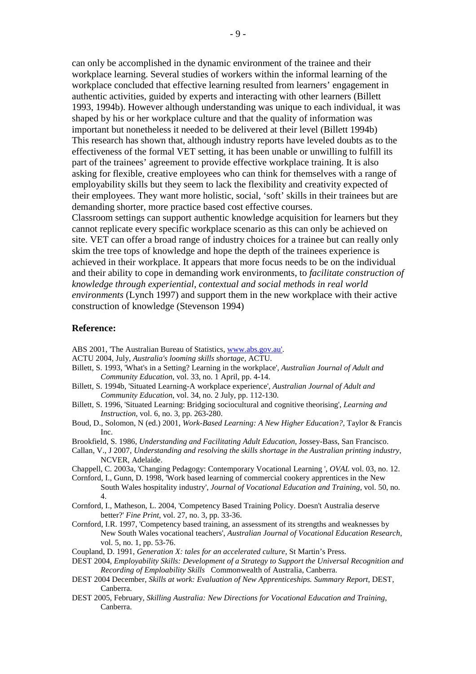can only be accomplished in the dynamic environment of the trainee and their workplace learning. Several studies of workers within the informal learning of the workplace concluded that effective learning resulted from learners' engagement in authentic activities, guided by experts and interacting with other learners (Billett 1993, 1994b). However although understanding was unique to each individual, it was shaped by his or her workplace culture and that the quality of information was important but nonetheless it needed to be delivered at their level (Billett 1994b) This research has shown that, although industry reports have leveled doubts as to the effectiveness of the formal VET setting, it has been unable or unwilling to fulfill its part of the trainees' agreement to provide effective workplace training. It is also asking for flexible, creative employees who can think for themselves with a range of employability skills but they seem to lack the flexibility and creativity expected of their employees. They want more holistic, social, 'soft' skills in their trainees but are demanding shorter, more practice based cost effective courses.

Classroom settings can support authentic knowledge acquisition for learners but they cannot replicate every specific workplace scenario as this can only be achieved on site. VET can offer a broad range of industry choices for a trainee but can really only skim the tree tops of knowledge and hope the depth of the trainees experience is achieved in their workplace. It appears that more focus needs to be on the individual and their ability to cope in demanding work environments, to *facilitate construction of knowledge through experiential, contextual and social methods in real world environments* (Lynch 1997) and support them in the new workplace with their active construction of knowledge (Stevenson 1994)

#### **Reference:**

ABS 2001, 'The Australian Bureau of Statistics, www.abs.gov.au'.

- ACTU 2004, July, *Australia's looming skills shortage*, ACTU.
- Billett, S. 1993, 'What's in a Setting? Learning in the workplace', *Australian Journal of Adult and Community Education*, vol. 33, no. 1 April, pp. 4-14.
- Billett, S. 1994b, 'Situated Learning-A workplace experience', *Australian Journal of Adult and Community Education*, vol. 34, no. 2 July, pp. 112-130.
- Billett, S. 1996, 'Situated Learning: Bridging sociocultural and cognitive theorising', *Learning and Instruction*, vol. 6, no. 3, pp. 263-280.
- Boud, D., Solomon, N (ed.) 2001, *Work-Based Learning: A New Higher Education?*, Taylor & Francis Inc.
- Brookfield, S. 1986, *Understanding and Facilitating Adult Education*, Jossey-Bass, San Francisco.
- Callan, V., J 2007, *Understanding and resolving the skills shortage in the Australian printing industry*, NCVER, Adelaide.
- Chappell, C. 2003a, 'Changing Pedagogy: Contemporary Vocational Learning ', *OVAL* vol. 03, no. 12.
- Cornford, I., Gunn, D. 1998, 'Work based learning of commercial cookery apprentices in the New South Wales hospitality industry', *Journal of Vocational Education and Training*, vol. 50, no. 4.
- Cornford, I., Matheson, L. 2004, 'Competency Based Training Policy. Doesn't Australia deserve better?' *Fine Print*, vol. 27, no. 3, pp. 33-36.
- Cornford, I.R. 1997, 'Competency based training, an assessment of its strengths and weaknesses by New South Wales vocational teachers', *Australian Journal of Vocational Education Research*, vol. 5, no. 1, pp. 53-76.
- Coupland, D. 1991, *Generation X: tales for an accelerated culture*, St Martin's Press.

DEST 2004, *Employability Skills: Development of a Strategy to Support the Universal Recognition and Recording of Emploability Skills* Commonwealth of Australia, Canberra.

- DEST 2004 December, *Skills at work: Evaluation of New Apprenticeships. Summary Report*, DEST, Canberra.
- DEST 2005, February, *Skilling Australia: New Directions for Vocational Education and Training*, Canberra.